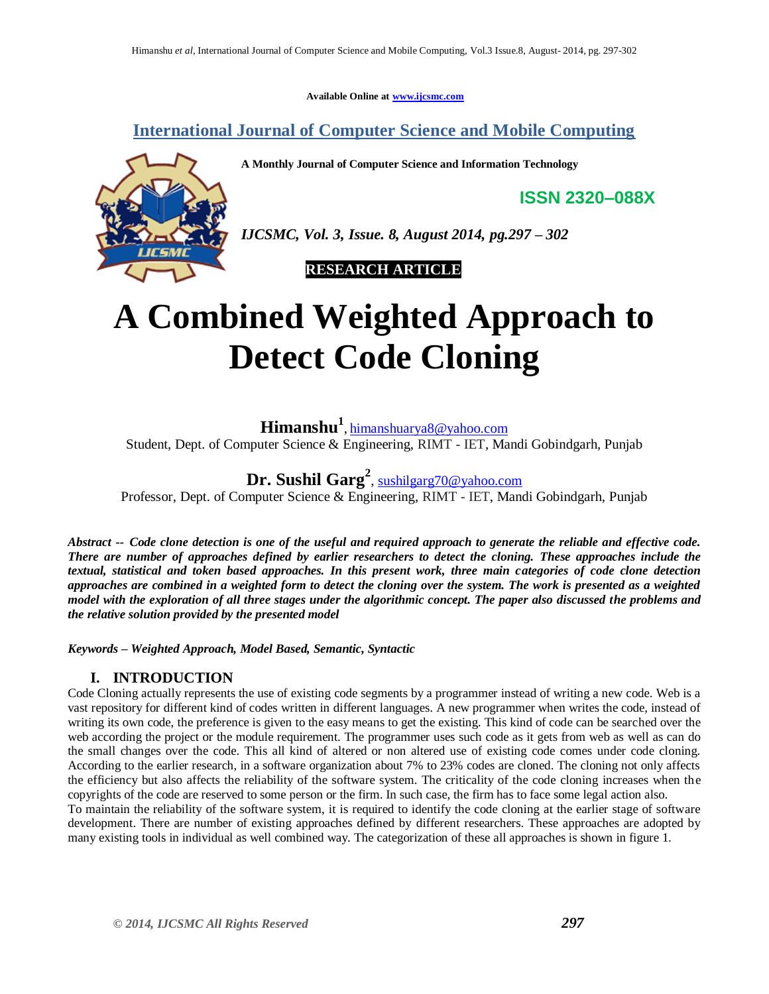**Available Online at [www.ijcsmc.com](http://www.ijcsmc.com/)**

**International Journal of Computer Science and Mobile Computing**

**A Monthly Journal of Computer Science and Information Technology**

**ISSN 2320–088X**



*IJCSMC, Vol. 3, Issue. 8, August 2014, pg.297 – 302*

 **RESEARCH ARTICLE**

# **A Combined Weighted Approach to Detect Code Cloning**

**Himanshu<sup>1</sup>** , [himanshuarya8@yahoo.com](mailto:himanshuarya8@yahoo.com)

Student, Dept. of Computer Science & Engineering, RIMT - IET, Mandi Gobindgarh, Punjab

**Dr. Sushil Garg<sup>2</sup>** , [sushilgarg70@yahoo.com](mailto:sushilgarg70@yahoo.com)

Professor, Dept. of Computer Science & Engineering, RIMT - IET, Mandi Gobindgarh, Punjab

*Abstract -- Code clone detection is one of the useful and required approach to generate the reliable and effective code. There are number of approaches defined by earlier researchers to detect the cloning. These approaches include the textual, statistical and token based approaches. In this present work, three main categories of code clone detection approaches are combined in a weighted form to detect the cloning over the system. The work is presented as a weighted model with the exploration of all three stages under the algorithmic concept. The paper also discussed the problems and the relative solution provided by the presented model*

*Keywords – Weighted Approach, Model Based, Semantic, Syntactic*

# **I. INTRODUCTION**

Code Cloning actually represents the use of existing code segments by a programmer instead of writing a new code. Web is a vast repository for different kind of codes written in different languages. A new programmer when writes the code, instead of writing its own code, the preference is given to the easy means to get the existing. This kind of code can be searched over the web according the project or the module requirement. The programmer uses such code as it gets from web as well as can do the small changes over the code. This all kind of altered or non altered use of existing code comes under code cloning. According to the earlier research, in a software organization about 7% to 23% codes are cloned. The cloning not only affects the efficiency but also affects the reliability of the software system. The criticality of the code cloning increases when the copyrights of the code are reserved to some person or the firm. In such case, the firm has to face some legal action also. To maintain the reliability of the software system, it is required to identify the code cloning at the earlier stage of software development. There are number of existing approaches defined by different researchers. These approaches are adopted by many existing tools in individual as well combined way. The categorization of these all approaches is shown in figure 1.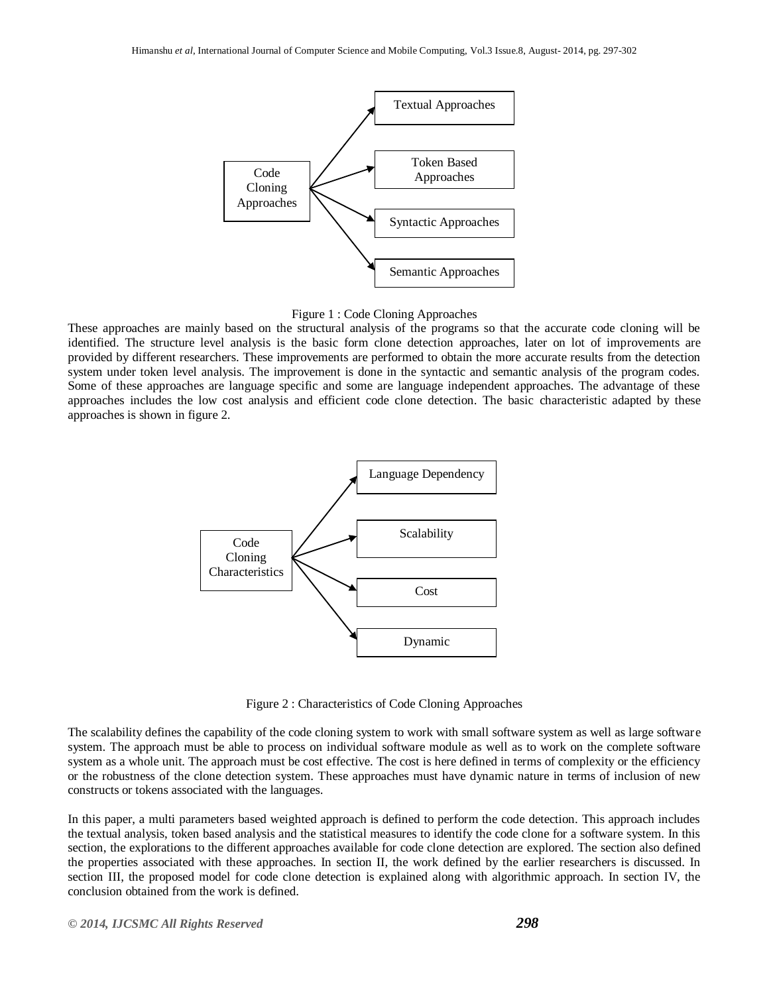



These approaches are mainly based on the structural analysis of the programs so that the accurate code cloning will be identified. The structure level analysis is the basic form clone detection approaches, later on lot of improvements are provided by different researchers. These improvements are performed to obtain the more accurate results from the detection system under token level analysis. The improvement is done in the syntactic and semantic analysis of the program codes. Some of these approaches are language specific and some are language independent approaches. The advantage of these approaches includes the low cost analysis and efficient code clone detection. The basic characteristic adapted by these approaches is shown in figure 2.



Figure 2 : Characteristics of Code Cloning Approaches

The scalability defines the capability of the code cloning system to work with small software system as well as large software system. The approach must be able to process on individual software module as well as to work on the complete software system as a whole unit. The approach must be cost effective. The cost is here defined in terms of complexity or the efficiency or the robustness of the clone detection system. These approaches must have dynamic nature in terms of inclusion of new constructs or tokens associated with the languages.

In this paper, a multi parameters based weighted approach is defined to perform the code detection. This approach includes the textual analysis, token based analysis and the statistical measures to identify the code clone for a software system. In this section, the explorations to the different approaches available for code clone detection are explored. The section also defined the properties associated with these approaches. In section II, the work defined by the earlier researchers is discussed. In section III, the proposed model for code clone detection is explained along with algorithmic approach. In section IV, the conclusion obtained from the work is defined.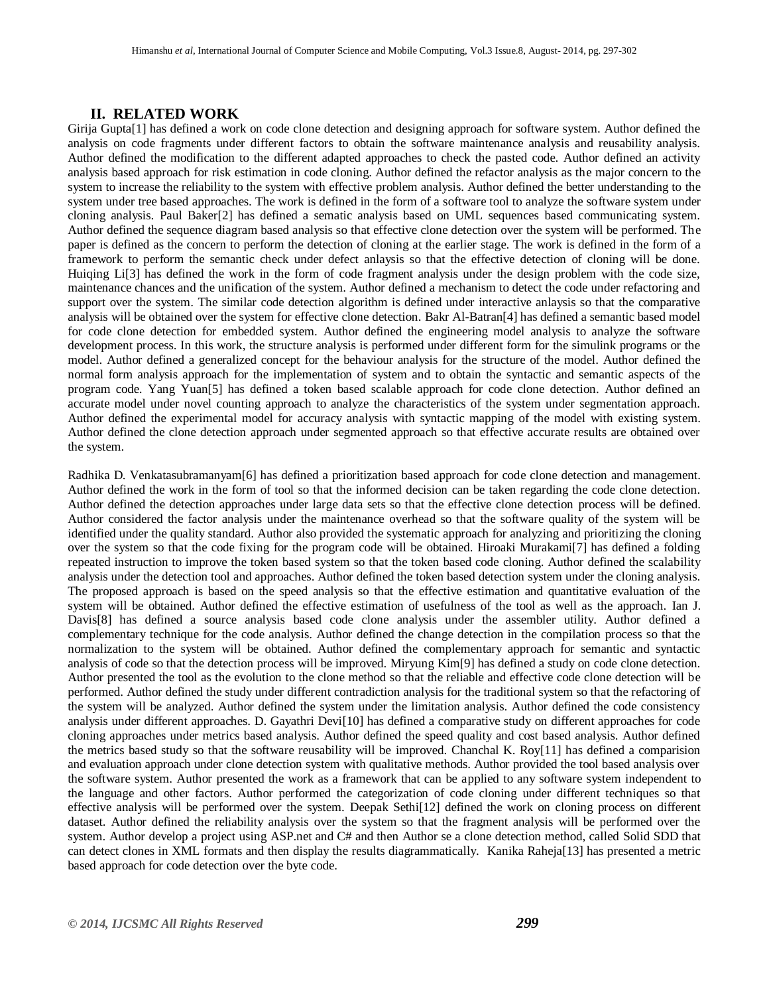#### **II. RELATED WORK**

Girija Gupta[1] has defined a work on code clone detection and designing approach for software system. Author defined the analysis on code fragments under different factors to obtain the software maintenance analysis and reusability analysis. Author defined the modification to the different adapted approaches to check the pasted code. Author defined an activity analysis based approach for risk estimation in code cloning. Author defined the refactor analysis as the major concern to the system to increase the reliability to the system with effective problem analysis. Author defined the better understanding to the system under tree based approaches. The work is defined in the form of a software tool to analyze the software system under cloning analysis. Paul Baker[2] has defined a sematic analysis based on UML sequences based communicating system. Author defined the sequence diagram based analysis so that effective clone detection over the system will be performed. The paper is defined as the concern to perform the detection of cloning at the earlier stage. The work is defined in the form of a framework to perform the semantic check under defect anlaysis so that the effective detection of cloning will be done. Huiqing Li[3] has defined the work in the form of code fragment analysis under the design problem with the code size, maintenance chances and the unification of the system. Author defined a mechanism to detect the code under refactoring and support over the system. The similar code detection algorithm is defined under interactive anlaysis so that the comparative analysis will be obtained over the system for effective clone detection. Bakr Al-Batran[4] has defined a semantic based model for code clone detection for embedded system. Author defined the engineering model analysis to analyze the software development process. In this work, the structure analysis is performed under different form for the simulink programs or the model. Author defined a generalized concept for the behaviour analysis for the structure of the model. Author defined the normal form analysis approach for the implementation of system and to obtain the syntactic and semantic aspects of the program code. Yang Yuan[5] has defined a token based scalable approach for code clone detection. Author defined an accurate model under novel counting approach to analyze the characteristics of the system under segmentation approach. Author defined the experimental model for accuracy analysis with syntactic mapping of the model with existing system. Author defined the clone detection approach under segmented approach so that effective accurate results are obtained over the system.

Radhika D. Venkatasubramanyam[6] has defined a prioritization based approach for code clone detection and management. Author defined the work in the form of tool so that the informed decision can be taken regarding the code clone detection. Author defined the detection approaches under large data sets so that the effective clone detection process will be defined. Author considered the factor analysis under the maintenance overhead so that the software quality of the system will be identified under the quality standard. Author also provided the systematic approach for analyzing and prioritizing the cloning over the system so that the code fixing for the program code will be obtained. Hiroaki Murakami[7] has defined a folding repeated instruction to improve the token based system so that the token based code cloning. Author defined the scalability analysis under the detection tool and approaches. Author defined the token based detection system under the cloning analysis. The proposed approach is based on the speed analysis so that the effective estimation and quantitative evaluation of the system will be obtained. Author defined the effective estimation of usefulness of the tool as well as the approach. Ian J. Davis<sup>[8]</sup> has defined a source analysis based code clone analysis under the assembler utility. Author defined a complementary technique for the code analysis. Author defined the change detection in the compilation process so that the normalization to the system will be obtained. Author defined the complementary approach for semantic and syntactic analysis of code so that the detection process will be improved. Miryung Kim[9] has defined a study on code clone detection. Author presented the tool as the evolution to the clone method so that the reliable and effective code clone detection will be performed. Author defined the study under different contradiction analysis for the traditional system so that the refactoring of the system will be analyzed. Author defined the system under the limitation analysis. Author defined the code consistency analysis under different approaches. D. Gayathri Devi[10] has defined a comparative study on different approaches for code cloning approaches under metrics based analysis. Author defined the speed quality and cost based analysis. Author defined the metrics based study so that the software reusability will be improved. Chanchal K. Roy[11] has defined a comparision and evaluation approach under clone detection system with qualitative methods. Author provided the tool based analysis over the software system. Author presented the work as a framework that can be applied to any software system independent to the language and other factors. Author performed the categorization of code cloning under different techniques so that effective analysis will be performed over the system. Deepak Sethi[12] defined the work on cloning process on different dataset. Author defined the reliability analysis over the system so that the fragment analysis will be performed over the system. Author develop a project using ASP.net and C# and then Author se a clone detection method, called Solid SDD that can detect clones in XML formats and then display the results diagrammatically. Kanika Raheja[13] has presented a metric based approach for code detection over the byte code.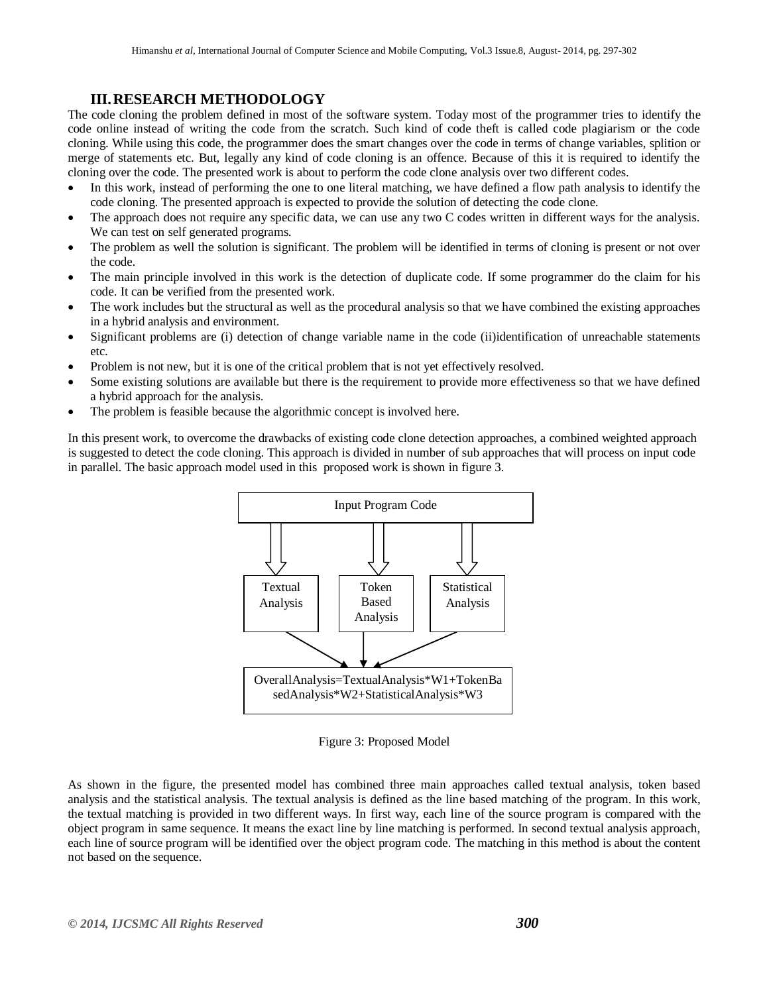## **III.RESEARCH METHODOLOGY**

The code cloning the problem defined in most of the software system. Today most of the programmer tries to identify the code online instead of writing the code from the scratch. Such kind of code theft is called code plagiarism or the code cloning. While using this code, the programmer does the smart changes over the code in terms of change variables, splition or merge of statements etc. But, legally any kind of code cloning is an offence. Because of this it is required to identify the cloning over the code. The presented work is about to perform the code clone analysis over two different codes.

- In this work, instead of performing the one to one literal matching, we have defined a flow path analysis to identify the code cloning. The presented approach is expected to provide the solution of detecting the code clone.
- The approach does not require any specific data, we can use any two C codes written in different ways for the analysis. We can test on self generated programs.
- The problem as well the solution is significant. The problem will be identified in terms of cloning is present or not over the code.
- The main principle involved in this work is the detection of duplicate code. If some programmer do the claim for his code. It can be verified from the presented work.
- The work includes but the structural as well as the procedural analysis so that we have combined the existing approaches in a hybrid analysis and environment.
- Significant problems are (i) detection of change variable name in the code (ii)identification of unreachable statements etc.
- Problem is not new, but it is one of the critical problem that is not yet effectively resolved.
- Some existing solutions are available but there is the requirement to provide more effectiveness so that we have defined a hybrid approach for the analysis.
- The problem is feasible because the algorithmic concept is involved here.

In this present work, to overcome the drawbacks of existing code clone detection approaches, a combined weighted approach is suggested to detect the code cloning. This approach is divided in number of sub approaches that will process on input code in parallel. The basic approach model used in this proposed work is shown in figure 3.



Figure 3: Proposed Model

As shown in the figure, the presented model has combined three main approaches called textual analysis, token based analysis and the statistical analysis. The textual analysis is defined as the line based matching of the program. In this work, the textual matching is provided in two different ways. In first way, each line of the source program is compared with the object program in same sequence. It means the exact line by line matching is performed. In second textual analysis approach, each line of source program will be identified over the object program code. The matching in this method is about the content not based on the sequence.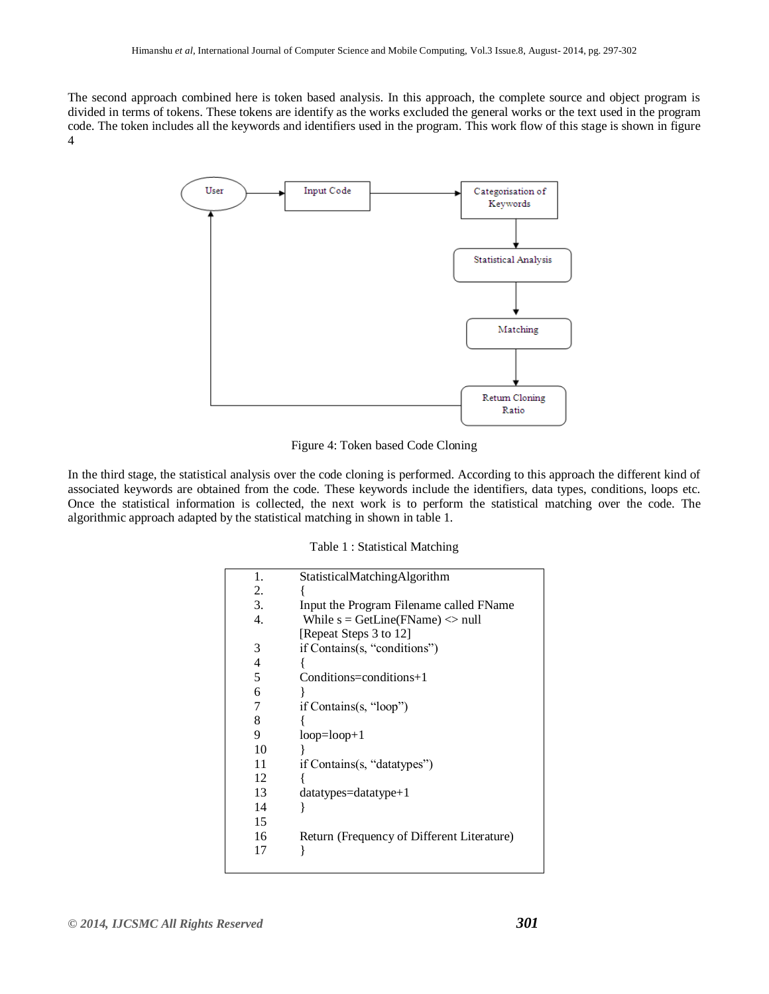The second approach combined here is token based analysis. In this approach, the complete source and object program is divided in terms of tokens. These tokens are identify as the works excluded the general works or the text used in the program code. The token includes all the keywords and identifiers used in the program. This work flow of this stage is shown in figure 4



Figure 4: Token based Code Cloning

In the third stage, the statistical analysis over the code cloning is performed. According to this approach the different kind of associated keywords are obtained from the code. These keywords include the identifiers, data types, conditions, loops etc. Once the statistical information is collected, the next work is to perform the statistical matching over the code. The algorithmic approach adapted by the statistical matching in shown in table 1.

|  |  | Table 1: Statistical Matching |  |
|--|--|-------------------------------|--|
|--|--|-------------------------------|--|

| 1. | StatisticalMatchingAlgorithm               |
|----|--------------------------------------------|
| 2. |                                            |
| 3. | Input the Program Filename called FName    |
| 4. | While $s = GetLine(FName) \le null$        |
|    | [Repeat Steps 3 to 12]                     |
| 3  | if Contains(s, "conditions")               |
| 4  |                                            |
| 5  | $Condition$ s=conditions+1                 |
| 6  |                                            |
| 7  | if Contains(s, "loop")                     |
| 8  |                                            |
| 9  | $loop = loop + 1$                          |
| 10 |                                            |
| 11 | if Contains(s, "datatypes")                |
| 12 |                                            |
| 13 | $data types = datatype + 1$                |
| 14 | ł                                          |
| 15 |                                            |
| 16 | Return (Frequency of Different Literature) |
| 17 |                                            |
|    |                                            |